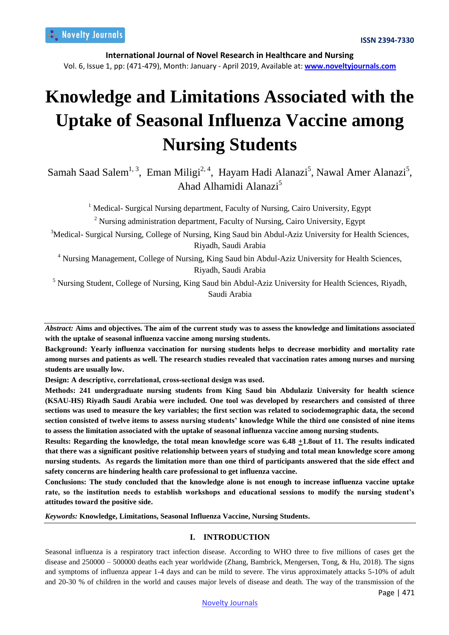**International Journal of Novel Research in Healthcare and Nursing**  Vol. 6, Issue 1, pp: (471-479), Month: January - April 2019, Available at: **www.noveltyjournals.com**

# **Knowledge and Limitations Associated with the Uptake of Seasonal Influenza Vaccine among Nursing Students**

Samah Saad Salem<sup>1, 3</sup>, Eman Miligi<sup>2, 4</sup>, Hayam Hadi Alanazi<sup>5</sup>, Nawal Amer Alanazi<sup>5</sup>, Ahad Alhamidi Alanazi<sup>5</sup>

<sup>1</sup> Medical- Surgical Nursing department, Faculty of Nursing, Cairo University, Egypt

<sup>2</sup> Nursing administration department, Faculty of Nursing, Cairo University, Egypt

<sup>3</sup>Medical- Surgical Nursing, College of Nursing, King Saud bin Abdul-Aziz University for Health Sciences, Riyadh, Saudi Arabia

<sup>4</sup> Nursing Management, College of Nursing, King Saud bin Abdul-Aziz University for Health Sciences, Riyadh, Saudi Arabia

<sup>5</sup> Nursing Student, College of Nursing, King Saud bin Abdul-Aziz University for Health Sciences, Riyadh, Saudi Arabia

*Abstract:* **Aims and objectives. The aim of the current study was to assess the knowledge and limitations associated with the uptake of seasonal influenza vaccine among nursing students.**

**Background: Yearly influenza vaccination for nursing students helps to decrease morbidity and mortality rate among nurses and patients as well. The research studies revealed that vaccination rates among nurses and nursing students are usually low.** 

**Design: A descriptive, correlational, cross‐sectional design was used.**

**Methods: 241 undergraduate nursing students from King Saud bin Abdulaziz University for health science (KSAU-HS) Riyadh Saudi Arabia were included. One tool was developed by researchers and consisted of three sections was used to measure the key variables; the first section was related to sociodemographic data, the second section consisted of twelve items to assess nursing students' knowledge While the third one consisted of nine items to assess the limitation associated with the uptake of seasonal influenza vaccine among nursing students.**

**Results: Regarding the knowledge, the total mean knowledge score was 6.48 +1.8out of 11. The results indicated that there was a significant positive relationship between years of studying and total mean knowledge score among nursing students. As regards the limitation more than one third of participants answered that the side effect and safety concerns are hindering health care professional to get influenza vaccine.**

**Conclusions: The study concluded that the knowledge alone is not enough to increase influenza vaccine uptake rate, so the institution needs to establish workshops and educational sessions to modify the nursing student's attitudes toward the positive side.**

*Keywords:* **Knowledge, Limitations, Seasonal Influenza Vaccine, Nursing Students.**

# **I. INTRODUCTION**

Seasonal influenza is a respiratory tract infection disease. According to WHO three to five millions of cases get the disease and 250000 – 500000 deaths each year worldwide (Zhang, Bambrick, Mengersen, Tong, & Hu, 2018). The signs and symptoms of influenza appear 1-4 days and can be mild to severe. The virus approximately attacks 5-10% of adult and 20-30 % of children in the world and causes major levels of disease and death. The way of the transmission of the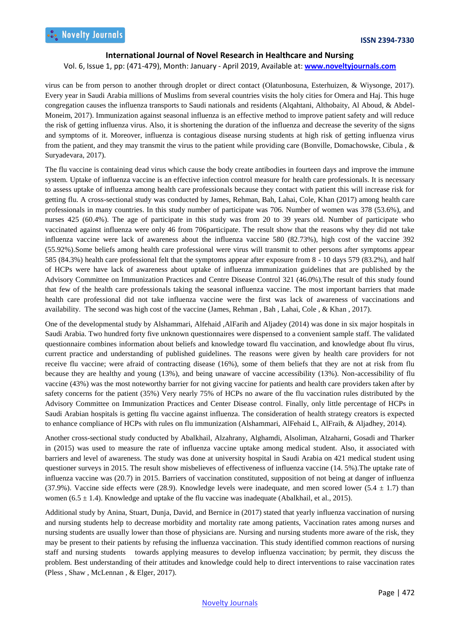#### Vol. 6, Issue 1, pp: (471-479), Month: January - April 2019, Available at: **www.noveltyjournals.com**

virus can be from person to another through droplet or direct contact (Olatunbosuna, Esterhuizen, & Wiysonge, 2017). Every year in Saudi Arabia millions of Muslims from several countries visits the holy cities for Omera and Haj. This huge congregation causes the influenza transports to Saudi nationals and residents (Alqahtani, Althobaity, Al Aboud, & Abdel-Moneim, 2017). Immunization against seasonal influenza is an effective method to improve patient safety and will reduce the risk of getting influenza virus. Also, it is shortening the duration of the influenza and decrease the severity of the signs and symptoms of it. Moreover, influenza is contagious disease nursing students at high risk of getting influenza virus from the patient, and they may transmit the virus to the patient while providing care (Bonville, Domachowske, Cibula , & Suryadevara, 2017).

The flu vaccine is containing dead virus which cause the body create antibodies in fourteen days and improve the immune system. Uptake of influenza vaccine is an effective infection control measure for health care professionals. It is necessary to assess uptake of influenza among health care professionals because they contact with patient this will increase risk for getting flu. A cross-sectional study was conducted by James, Rehman, Bah, Lahai, Cole, Khan (2017) among health care professionals in many countries. In this study number of participate was 706. Number of women was 378 (53.6%), and nurses 425 (60.4%). The age of participate in this study was from 20 to 39 years old. Number of participate who vaccinated against influenza were only 46 from 706participate. The result show that the reasons why they did not take influenza vaccine were lack of awareness about the influenza vaccine 580 (82.73%), high cost of the vaccine 392 (55.92%).Some beliefs among health care professional were virus will transmit to other persons after symptoms appear 585 (84.3%) health care professional felt that the symptoms appear after exposure from 8 - 10 days 579 (83.2%), and half of HCPs were have lack of awareness about uptake of influenza immunization guidelines that are published by the Advisory Committee on Immunization Practices and Centre Disease Control 321 (46.0%).The result of this study found that few of the health care professionals taking the seasonal influenza vaccine. The most important barriers that made health care professional did not take influenza vaccine were the first was lack of awareness of vaccinations and availability. The second was high cost of the vaccine (James, Rehman , Bah , Lahai, Cole , & Khan , 2017).

One of the developmental study by Alshammari, Alfehaid ,AlFarih and Aljadey (2014) was done in six major hospitals in Saudi Arabia. Two hundred forty five unknown questionnaires were dispensed to a convenient sample staff. The validated questionnaire combines information about beliefs and knowledge toward flu vaccination, and knowledge about flu virus, current practice and understanding of published guidelines. The reasons were given by health care providers for not receive flu vaccine; were afraid of contracting disease (16%), some of them beliefs that they are not at risk from flu because they are healthy and young (13%), and being unaware of vaccine accessibility (13%). Non-accessibility of flu vaccine (43%) was the most noteworthy barrier for not giving vaccine for patients and health care providers taken after by safety concerns for the patient (35%) Very nearly 75% of HCPs no aware of the flu vaccination rules distributed by the Advisory Committee on Immunization Practices and Center Disease control. Finally, only little percentage of HCPs in Saudi Arabian hospitals is getting flu vaccine against influenza. The consideration of health strategy creators is expected to enhance compliance of HCPs with rules on flu immunization (Alshammari, AlFehaid L, AlFraih, & Aljadhey, 2014).

Another cross-sectional study conducted by Abalkhail, Alzahrany, Alghamdi, Alsoliman, Alzaharni, Gosadi and Tharker in (2015) was used to measure the rate of influenza vaccine uptake among medical student. Also, it associated with barriers and level of awareness. The study was done at university hospital in Saudi Arabia on 421 medical student using questioner surveys in 2015. The result show misbelieves of effectiveness of influenza vaccine (14. 5%).The uptake rate of influenza vaccine was (20.7) in 2015. Barriers of vaccination constituted, supposition of not being at danger of influenza (37.9%). Vaccine side effects were (28.9). Knowledge levels were inadequate, and men scored lower (5.4  $\pm$  1.7) than women (6.5  $\pm$  1.4). Knowledge and uptake of the flu vaccine was inadequate (Abalkhail, et al., 2015).

Additional study by Anina, Stuart, Dunja, David, and Bernice in (2017) stated that yearly influenza vaccination of nursing and nursing students help to decrease morbidity and mortality rate among patients, Vaccination rates among nurses and nursing students are usually lower than those of physicians are. Nursing and nursing students more aware of the risk, they may be present to their patients by refusing the influenza vaccination. This study identified common reactions of nursing staff and nursing students towards applying measures to develop influenza vaccination; by permit, they discuss the problem. Best understanding of their attitudes and knowledge could help to direct interventions to raise vaccination rates (Pless , Shaw , McLennan , & Elger, 2017).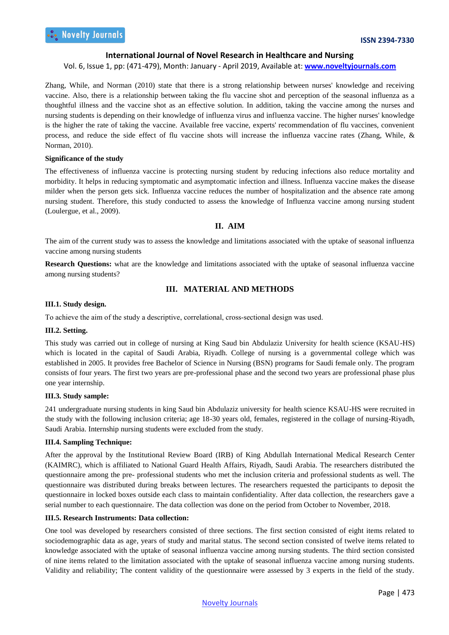## Vol. 6, Issue 1, pp: (471-479), Month: January - April 2019, Available at: **www.noveltyjournals.com**

Zhang, While, and Norman (2010) state that there is a strong relationship between nurses' knowledge and receiving vaccine. Also, there is a relationship between taking the flu vaccine shot and perception of the seasonal influenza as a thoughtful illness and the vaccine shot as an effective solution. In addition, taking the vaccine among the nurses and nursing students is depending on their knowledge of influenza virus and influenza vaccine. The higher nurses' knowledge is the higher the rate of taking the vaccine. Available free vaccine, experts' recommendation of flu vaccines, convenient process, and reduce the side effect of flu vaccine shots will increase the influenza vaccine rates (Zhang, While, & Norman, 2010).

#### **Significance of the study**

The effectiveness of influenza vaccine is protecting nursing student by reducing infections also reduce mortality and morbidity. It helps in reducing symptomatic and asymptomatic infection and illness. Influenza vaccine makes the disease milder when the person gets sick. Influenza vaccine reduces the number of hospitalization and the absence rate among nursing student. Therefore, this study conducted to assess the knowledge of Influenza vaccine among nursing student (Loulergue, et al., 2009).

# **II. AIM**

The aim of the current study was to assess the knowledge and limitations associated with the uptake of seasonal influenza vaccine among nursing students

**Research Questions:** what are the knowledge and limitations associated with the uptake of seasonal influenza vaccine among nursing students?

# **III. MATERIAL AND METHODS**

## **III.1. Study design.**

To achieve the aim of the study a descriptive, correlational, cross-sectional design was used.

#### **III.2. Setting.**

This study was carried out in college of nursing at King Saud bin Abdulaziz University for health science (KSAU-HS) which is located in the capital of Saudi Arabia, Riyadh. College of nursing is a governmental college which was established in 2005. It provides free Bachelor of Science in Nursing (BSN) programs for Saudi female only. The program consists of four years. The first two years are pre-professional phase and the second two years are professional phase plus one year internship.

#### **III.3. Study sample:**

241 undergraduate nursing students in king Saud bin Abdulaziz university for health science KSAU-HS were recruited in the study with the following inclusion criteria; age 18-30 years old, females, registered in the collage of nursing-Riyadh, Saudi Arabia. Internship nursing students were excluded from the study.

## **III.4. Sampling Technique:**

After the approval by the Institutional Review Board (IRB) of King Abdullah International Medical Research Center (KAIMRC), which is affiliated to National Guard Health Affairs, Riyadh, Saudi Arabia. The researchers distributed the questionnaire among the pre- professional students who met the inclusion criteria and professional students as well. The questionnaire was distributed during breaks between lectures. The researchers requested the participants to deposit the questionnaire in locked boxes outside each class to maintain confidentiality. After data collection, the researchers gave a serial number to each questionnaire. The data collection was done on the period from October to November, 2018.

#### **III.5. Research Instruments: Data collection:**

One tool was developed by researchers consisted of three sections. The first section consisted of eight items related to sociodemographic data as age, years of study and marital status. The second section consisted of twelve items related to knowledge associated with the uptake of seasonal influenza vaccine among nursing students. The third section consisted of nine items related to the limitation associated with the uptake of seasonal influenza vaccine among nursing students. Validity and reliability; The content validity of the questionnaire were assessed by 3 experts in the field of the study.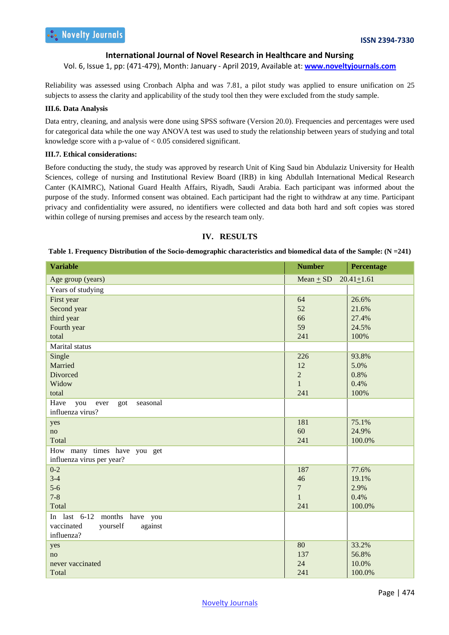Vol. 6, Issue 1, pp: (471-479), Month: January - April 2019, Available at: **www.noveltyjournals.com**

Reliability was assessed using Cronbach Alpha and was 7.81, a pilot study was applied to ensure unification on 25 subjects to assess the clarity and applicability of the study tool then they were excluded from the study sample.

#### **III.6. Data Analysis**

Data entry, cleaning, and analysis were done using SPSS software (Version 20.0). Frequencies and percentages were used for categorical data while the one way ANOVA test was used to study the relationship between years of studying and total knowledge score with a p-value of  $< 0.05$  considered significant.

#### **III.7. Ethical considerations:**

Before conducting the study, the study was approved by research Unit of King Saud bin Abdulaziz University for Health Sciences, college of nursing and Institutional Review Board (IRB) in king Abdullah International Medical Research Canter (KAIMRC), National Guard Health Affairs, Riyadh, Saudi Arabia. Each participant was informed about the purpose of the study. Informed consent was obtained. Each participant had the right to withdraw at any time. Participant privacy and confidentiality were assured, no identifiers were collected and data both hard and soft copies was stored within college of nursing premises and access by the research team only.

# **IV. RESULTS**

#### **Table 1. Frequency Distribution of the Socio-demographic characteristics and biomedical data of the Sample: (N =241)**

| <b>Variable</b>                        | <b>Number</b>    | Percentage     |
|----------------------------------------|------------------|----------------|
| Age group (years)                      | Mean $+$ SD      | $20.41 + 1.61$ |
| Years of studying                      |                  |                |
| First year                             | 64               | 26.6%          |
| Second year                            | 52               | 21.6%          |
| third year                             | 66               | 27.4%          |
| Fourth year                            | 59               | 24.5%          |
| total                                  | 241              | 100%           |
| Marital status                         |                  |                |
| Single                                 | 226              | 93.8%          |
| Married                                | 12               | 5.0%           |
| Divorced                               | $\overline{2}$   | 0.8%           |
| Widow                                  | $\mathbf{1}$     | 0.4%           |
| total                                  | 241              | 100%           |
| Have<br>seasonal<br>you<br>ever<br>got |                  |                |
| influenza virus?                       |                  |                |
| yes                                    | 181              | 75.1%          |
| no                                     | 60               | 24.9%          |
| Total                                  | 241              | 100.0%         |
| How many times have you get            |                  |                |
| influenza virus per year?              |                  |                |
| $0 - 2$                                | 187              | 77.6%          |
| $3-4$                                  | 46               | 19.1%          |
| $5-6$                                  | $\boldsymbol{7}$ | 2.9%           |
| $7 - 8$                                | $\mathbf{1}$     | 0.4%           |
| Total                                  | 241              | 100.0%         |
| In last 6-12 months have you           |                  |                |
| vaccinated<br>yourself<br>against      |                  |                |
| influenza?                             |                  |                |
| yes                                    | 80               | 33.2%          |
| no                                     | 137              | 56.8%          |
| never vaccinated                       | 24               | 10.0%          |
| Total                                  | 241              | 100.0%         |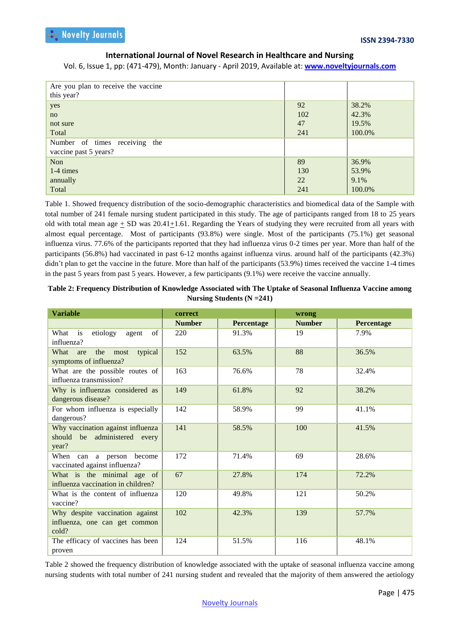Vol. 6, Issue 1, pp: (471-479), Month: January - April 2019, Available at: **www.noveltyjournals.com**

| Are you plan to receive the vaccine<br>this year? |     |        |
|---------------------------------------------------|-----|--------|
| yes                                               | 92  | 38.2%  |
| no                                                | 102 | 42.3%  |
| not sure                                          | 47  | 19.5%  |
| Total                                             | 241 | 100.0% |
| Number of times receiving the                     |     |        |
| vaccine past 5 years?                             |     |        |
| <b>Non</b>                                        | 89  | 36.9%  |
| 1-4 times                                         | 130 | 53.9%  |
| annually                                          | 22  | 9.1%   |
| Total                                             | 241 | 100.0% |

Table 1. Showed frequency distribution of the socio-demographic characteristics and biomedical data of the Sample with total number of 241 female nursing student participated in this study. The age of participants ranged from 18 to 25 years old with total mean age  $+$  SD was 20.41+1.61. Regarding the Years of studying they were recruited from all years with almost equal percentage. Most of participants (93.8%) were single. Most of the participants (75.1%) get seasonal influenza virus. 77.6% of the participants reported that they had influenza virus 0-2 times per year. More than half of the participants (56.8%) had vaccinated in past 6-12 months against influenza virus. around half of the participants (42.3%) didn't plan to get the vaccine in the future. More than half of the participants (53.9%) times received the vaccine 1-4 times in the past 5 years from past 5 years. However, a few participants (9.1%) were receive the vaccine annually.

| Table 2: Frequency Distribution of Knowledge Associated with The Uptake of Seasonal Influenza Vaccine among |
|-------------------------------------------------------------------------------------------------------------|
| Nursing Students $(N = 241)$                                                                                |

| <b>Variable</b>                                                            | correct       |            | wrong         |            |  |  |
|----------------------------------------------------------------------------|---------------|------------|---------------|------------|--|--|
|                                                                            | <b>Number</b> | Percentage | <b>Number</b> | Percentage |  |  |
| What is<br>etiology<br>agent<br>of<br>influenza?                           | 220           | 91.3%      | 19            | 7.9%       |  |  |
| typical<br>What are<br>the most<br>symptoms of influenza?                  | 152           | 63.5%      | 88            | 36.5%      |  |  |
| What are the possible routes of<br>influenza transmission?                 | 163           | 76.6%      | 78            | 32.4%      |  |  |
| Why is influenzas considered as<br>dangerous disease?                      | 149           | 61.8%      | 92            | 38.2%      |  |  |
| For whom influenza is especially<br>dangerous?                             | 142           | 58.9%      | 99            | 41.1%      |  |  |
| Why vaccination against influenza<br>should be administered every<br>year? | 141           | 58.5%      | 100           | 41.5%      |  |  |
| When can a person become<br>vaccinated against influenza?                  | 172           | 71.4%      | 69            | 28.6%      |  |  |
| What is the minimal age of<br>influenza vaccination in children?           | 67            | 27.8%      | 174           | 72.2%      |  |  |
| What is the content of influenza<br>vaccine?                               | 120           | 49.8%      | 121           | 50.2%      |  |  |
| Why despite vaccination against<br>influenza, one can get common<br>cold?  | 102           | 42.3%      | 139           | 57.7%      |  |  |
| The efficacy of vaccines has been<br>proven                                | 124           | 51.5%      | 116           | 48.1%      |  |  |

Table 2 showed the frequency distribution of knowledge associated with the uptake of seasonal influenza vaccine among nursing students with total number of 241 nursing student and revealed that the majority of them answered the aetiology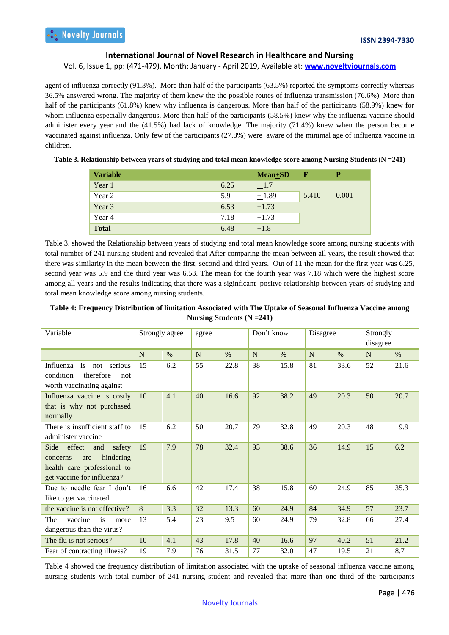Vol. 6, Issue 1, pp: (471-479), Month: January - April 2019, Available at: **www.noveltyjournals.com**

agent of influenza correctly (91.3%). More than half of the participants (63.5%) reported the symptoms correctly whereas 36.5% answered wrong. The majority of them knew the the possible routes of influenza transmission (76.6%). More than half of the participants (61.8%) knew why influenza is dangerous. More than half of the participants (58.9%) knew for whom influenza especially dangerous. More than half of the participants (58.5%) knew why the influenza vaccine should administer every year and the (41.5%) had lack of knowledge. The majority (71.4%) knew when the person become vaccinated against influenza. Only few of the participants (27.8%) were aware of the minimal age of influenza vaccine in children.

| Table 3. Relationship between years of studying and total mean knowledge score among Nursing Students (N =241) |  |  |  |  |
|----------------------------------------------------------------------------------------------------------------|--|--|--|--|
|                                                                                                                |  |  |  |  |
|                                                                                                                |  |  |  |  |

| <b>Variable</b> |      | $Mean + SD$ | Е     |       |
|-----------------|------|-------------|-------|-------|
| Year 1          | 6.25 | $+1.7$      |       |       |
| Year 2          | 5.9  | $+1.89$     | 5.410 | 0.001 |
| Year 3          | 6.53 | $\pm 1.73$  |       |       |
| Year 4          | 7.18 | $+1.73$     |       |       |
| <b>Total</b>    | 6.48 | $\pm 1.8$   |       |       |

Table 3. showed the Relationship between years of studying and total mean knowledge score among nursing students with total number of 241 nursing student and revealed that After comparing the mean between all years, the result showed that there was similarity in the mean between the first, second and third years. Out of 11 the mean for the first year was 6.25, second year was 5.9 and the third year was 6.53. The mean for the fourth year was 7.18 which were the highest score among all years and the results indicating that there was a siginficant positve relationship between years of studying and total mean knowledge score among nursing students.

## **Table 4: Frequency Distribution of limitation Associated with The Uptake of Seasonal Influenza Vaccine among Nursing Students (N =241)**

| Variable                                                                                                                     | Strongly agree |      | agree       |      | Don't know     |      | Disagree |      | Strongly<br>disagree |      |
|------------------------------------------------------------------------------------------------------------------------------|----------------|------|-------------|------|----------------|------|----------|------|----------------------|------|
|                                                                                                                              | $\mathbf N$    | $\%$ | $\mathbf N$ | $\%$ | $\overline{N}$ | $\%$ | N        | $\%$ | N                    | $\%$ |
| is<br>Influenza<br>serious<br>not<br>therefore<br>condition<br>not<br>worth vaccinating against                              | 15             | 6.2  | 55          | 22.8 | 38             | 15.8 | 81       | 33.6 | 52                   | 21.6 |
| Influenza vaccine is costly<br>that is why not purchased<br>normally                                                         | 10             | 4.1  | 40          | 16.6 | 92             | 38.2 | 49       | 20.3 | 50                   | 20.7 |
| There is insufficient staff to<br>administer vaccine                                                                         | 15             | 6.2  | 50          | 20.7 | 79             | 32.8 | 49       | 20.3 | 48                   | 19.9 |
| effect<br>safety<br>Side<br>and<br>hindering<br>are<br>concerns<br>health care professional to<br>get vaccine for influenza? | 19             | 7.9  | 78          | 32.4 | 93             | 38.6 | 36       | 14.9 | 15                   | 6.2  |
| Due to needle fear I don't<br>like to get vaccinated                                                                         | 16             | 6.6  | 42          | 17.4 | 38             | 15.8 | 60       | 24.9 | 85                   | 35.3 |
| the vaccine is not effective?                                                                                                | 8              | 3.3  | 32          | 13.3 | 60             | 24.9 | 84       | 34.9 | 57                   | 23.7 |
| The<br>vaccine<br><i>is</i><br>more<br>dangerous than the virus?                                                             | 13             | 5.4  | 23          | 9.5  | 60             | 24.9 | 79       | 32.8 | 66                   | 27.4 |
| The flu is not serious?                                                                                                      | 10             | 4.1  | 43          | 17.8 | 40             | 16.6 | 97       | 40.2 | 51                   | 21.2 |
| Fear of contracting illness?                                                                                                 | 19             | 7.9  | 76          | 31.5 | 77             | 32.0 | 47       | 19.5 | 21                   | 8.7  |

Table 4 showed the frequency distribution of limitation associated with the uptake of seasonal influenza vaccine among nursing students with total number of 241 nursing student and revealed that more than one third of the participants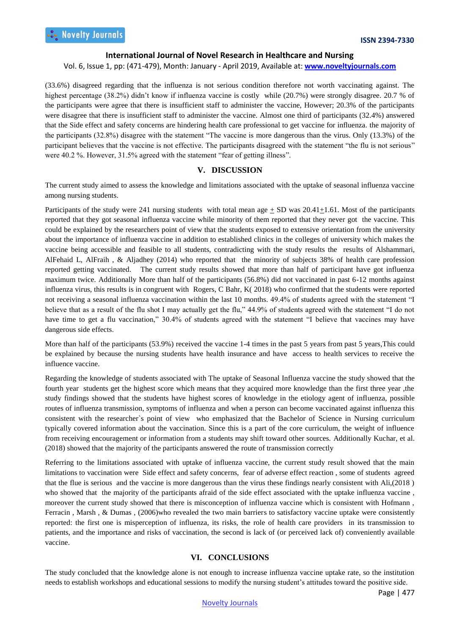#### Vol. 6, Issue 1, pp: (471-479), Month: January - April 2019, Available at: **www.noveltyjournals.com**

(33.6%) disagreed regarding that the influenza is not serious condition therefore not worth vaccinating against. The highest percentage (38.2%) didn't know if influenza vaccine is costly while (20.7%) were strongly disagree. 20.7 % of the participants were agree that there is insufficient staff to administer the vaccine, However; 20.3% of the participants were disagree that there is insufficient staff to administer the vaccine. Almost one third of participants (32.4%) answered that the Side effect and safety concerns are hindering health care professional to get vaccine for influenza. the majority of the participants (32.8%) disagree with the statement "The vaccine is more dangerous than the virus. Only (13.3%) of the participant believes that the vaccine is not effective. The participants disagreed with the statement "the flu is not serious" were 40.2 %. However, 31.5% agreed with the statement "fear of getting illness".

## **V. DISCUSSION**

The current study aimed to assess the knowledge and limitations associated with the uptake of seasonal influenza vaccine among nursing students.

Participants of the study were 241 nursing students with total mean age  $+$  SD was 20.41+1.61. Most of the participants reported that they got seasonal influenza vaccine while minority of them reported that they never got the vaccine. This could be explained by the researchers point of view that the students exposed to extensive orientation from the university about the importance of influenza vaccine in addition to established clinics in the colleges of university which makes the vaccine being accessible and feasible to all students, contradicting with the study results the results of Alshammari, AlFehaid L, AlFraih , & Aljadhey (2014) who reported that the minority of subjects 38% of health care profession reported getting vaccinated. The current study results showed that more than half of participant have got influenza maximum twice. Additionally More than half of the participants (56.8%) did not vaccinated in past 6-12 months against influenza virus, this results is in congruent with Rogers, C Bahr, K( 2018) who confirmed that the students were reported not receiving a seasonal influenza vaccination within the last 10 months. 49.4% of students agreed with the statement "I believe that as a result of the flu shot I may actually get the flu," 44.9% of students agreed with the statement "I do not have time to get a flu vaccination," 30.4% of students agreed with the statement "I believe that vaccines may have dangerous side effects.

More than half of the participants (53.9%) received the vaccine 1-4 times in the past 5 years from past 5 years,This could be explained by because the nursing students have health insurance and have access to health services to receive the influence vaccine.

Regarding the knowledge of students associated with The uptake of Seasonal Influenza vaccine the study showed that the fourth year students get the highest score which means that they acquired more knowledge than the first three year ,the study findings showed that the students have highest scores of knowledge in the etiology agent of influenza, possible routes of influenza transmission, symptoms of influenza and when a person can become vaccinated against influenza this consistent with the researcher`s point of view who emphasized that the Bachelor of Science in Nursing curriculum typically covered information about the vaccination. Since this is a part of the core curriculum, the weight of influence from receiving encouragement or information from a students may shift toward other sources. Additionally Kuchar, et al. (2018) showed that the majority of the participants answered the route of transmission correctly

Referring to the limitations associated with uptake of influenza vaccine, the current study result showed that the main limitations to vaccination were Side effect and safety concerns, fear of adverse effect reaction , some of students agreed that the flue is serious and the vaccine is more dangerous than the virus these findings nearly consistent with Ali,(2018 ) who showed that the majority of the participants afraid of the side effect associated with the uptake influenza vaccine , moreover the current study showed that there is misconception of influenza vaccine which is consistent with Hofmann , Ferracin , Marsh , & Dumas , (2006)who revealed the two main barriers to satisfactory vaccine uptake were consistently reported: the first one is misperception of influenza, its risks, the role of health care providers in its transmission to patients, and the importance and risks of vaccination, the second is lack of (or perceived lack of) conveniently available vaccine.

# **VI. CONCLUSIONS**

The study concluded that the knowledge alone is not enough to increase influenza vaccine uptake rate, so the institution needs to establish workshops and educational sessions to modify the nursing student's attitudes toward the positive side.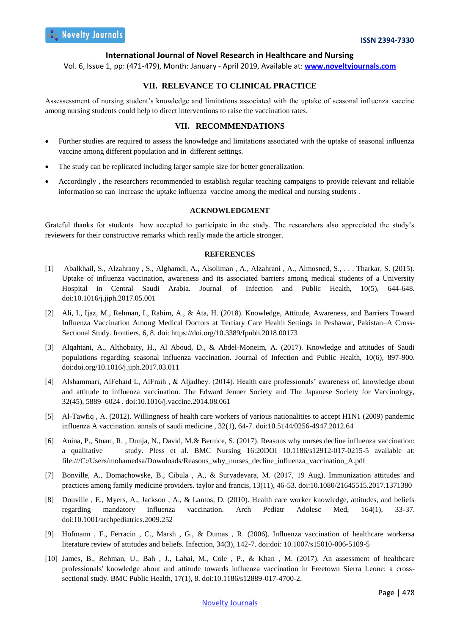Vol. 6, Issue 1, pp: (471-479), Month: January - April 2019, Available at: **www.noveltyjournals.com**

# **VII. RELEVANCE TO CLINICAL PRACTICE**

Assessessment of nursing student's knowledge and limitations associated with the uptake of seasonal influenza vaccine among nursing students could help to direct interventions to raise the vaccination rates.

## **VII. RECOMMENDATIONS**

- Further studies are required to assess the knowledge and limitations associated with the uptake of seasonal influenza vaccine among different population and in different settings.
- The study can be replicated including larger sample size for better generalization.
- Accordingly , the researchers recommended to establish regular teaching campaigns to provide relevant and reliable information so can increase the uptake influenza vaccine among the medical and nursing students .

# **ACKNOWLEDGMENT**

Grateful thanks for students how accepted to participate in the study. The researchers also appreciated the study's reviewers for their constructive remarks which really made the article stronger.

#### **REFERENCES**

- [1] Abalkhail, S., Alzahrany , S., Alghamdi, A., Alsoliman , A., Alzahrani , A., Almosned, S., . . . Tharkar, S. (2015). Uptake of influenza vaccination, awareness and its associated barriers among medical students of a University Hospital in Central Saudi Arabia. Journal of Infection and Public Health, 10(5), 644-648. doi:10.1016/j.jiph.2017.05.001
- [2] Ali, I., Ijaz, M., Rehman, I., Rahim, A., & Ata, H. (2018). Knowledge, Attitude, Awareness, and Barriers Toward Influenza Vaccination Among Medical Doctors at Tertiary Care Health Settings in Peshawar, Pakistan–A Cross-Sectional Study. frontiers, 6, 8. doi: https://doi.org/10.3389/fpubh.2018.00173
- [3] Alqahtani, A., Althobaity, H., Al Aboud, D., & Abdel-Moneim, A. (2017). Knowledge and attitudes of Saudi populations regarding seasonal influenza vaccination. Journal of Infection and Public Health, 10(6), 897-900. doi:doi.org/10.1016/j.jiph.2017.03.011
- [4] Alshammari, AlFehaid L, AlFraih , & Aljadhey. (2014). Health care professionals' awareness of, knowledge about and attitude to influenza vaccination. The Edward Jenner Society and The Japanese Society for Vaccinology, 32(45), 5889–6024 . doi:10.1016/j.vaccine.2014.08.061
- [5] Al-Tawfiq , A. (2012). Willingness of health care workers of various nationalities to accept H1N1 (2009) pandemic influenza A vaccination. annals of saudi medicine , 32(1), 64-7. doi:10.5144/0256-4947.2012.64
- [6] Anina, P., Stuart, R. , Dunja, N., David, M.& Bernice, S. (2017). Reasons why nurses decline influenza vaccination: a qualitative study. Pless et al. BMC Nursing 16:20DOI 10.1186/s12912-017-0215-5 available at: file:///C:/Users/mohamedsa/Downloads/Reasons\_why\_nurses\_decline\_influenza\_vaccination\_A.pdf
- [7] Bonville, A., Domachowske, B., Cibula , A., & Suryadevara, M. (2017, 19 Aug). Immunization attitudes and practices among family medicine providers. taylor and francis, 13(11), 46-53. doi:10.1080/21645515.2017.1371380
- [8] Douville , E., Myers, A., Jackson , A., & Lantos, D. (2010). Health care worker knowledge, attitudes, and beliefs regarding mandatory influenza vaccination. Arch Pediatr Adolesc Med, 164(1), 33-37. doi:10.1001/archpediatrics.2009.252
- [9] Hofmann , F., Ferracin , C., Marsh , G., & Dumas , R. (2006). Influenza vaccination of healthcare workersa literature review of attitudes and beliefs. Infection, 34(3), 142-7. doi:doi: 10.1007/s15010-006-5109-5
- [10] James, B., Rehman, U., Bah , J., Lahai, M., Cole , P., & Khan , M. (2017). An assessment of healthcare professionals' knowledge about and attitude towards influenza vaccination in Freetown Sierra Leone: a crosssectional study. BMC Public Health, 17(1), 8. doi:10.1186/s12889-017-4700-2.